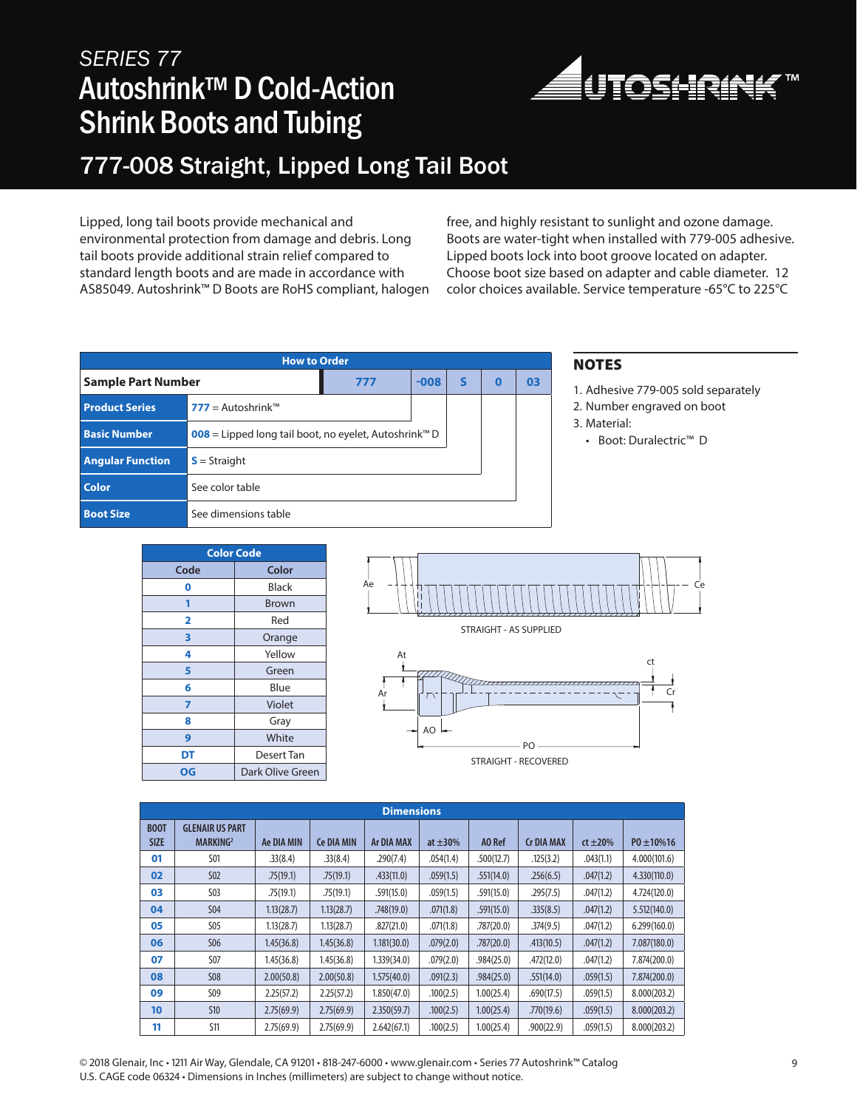## *SERIES 77* Autoshrink™ D Cold-Action Shrink Boots and Tubing



### 777-008 Straight, Lipped Long Tail Boot

Lipped, long tail boots provide mechanical and environmental protection from damage and debris. Long tail boots provide additional strain relief compared to standard length boots and are made in accordance with AS85049. Autoshrink™ D Boots are RoHS compliant, halogen free, and highly resistant to sunlight and ozone damage. Boots are water-tight when installed with 779-005 adhesive. Lipped boots lock into boot groove located on adapter. Choose boot size based on adapter and cable diameter. 12 color choices available. Service temperature -65°C to 225°C

| <b>How to Order</b>     |                                                                   |     |        |   |   |    |  |  |  |
|-------------------------|-------------------------------------------------------------------|-----|--------|---|---|----|--|--|--|
| Sample Part Number      |                                                                   | 777 | $-008$ | S | O | 03 |  |  |  |
| <b>Product Series</b>   | $777 =$ Autoshrink <sup>TM</sup>                                  |     |        |   |   |    |  |  |  |
| <b>Basic Number</b>     | 008 = Lipped long tail boot, no eyelet, Autoshrink <sup>™</sup> D |     |        |   |   |    |  |  |  |
| <b>Angular Function</b> | $S =$ Straight                                                    |     |        |   |   |    |  |  |  |
| <b>Color</b>            | See color table                                                   |     |        |   |   |    |  |  |  |
| <b>Boot Size</b>        | See dimensions table                                              |     |        |   |   |    |  |  |  |

#### NOTES

1. Adhesive 779-005 sold separately

2. Number engraved on boot

- 3. Material:
	- Boot: Duralectric™ D

| <b>Color Code</b> |                  |  |  |  |  |  |
|-------------------|------------------|--|--|--|--|--|
| Code              | Color            |  |  |  |  |  |
| 0                 | Black            |  |  |  |  |  |
| 1                 | <b>Brown</b>     |  |  |  |  |  |
| 2                 | Red              |  |  |  |  |  |
| 3                 | Orange           |  |  |  |  |  |
| 4                 | Yellow           |  |  |  |  |  |
| 5                 | Green            |  |  |  |  |  |
| 6                 | Blue             |  |  |  |  |  |
| 7                 | Violet           |  |  |  |  |  |
| 8                 | Gray             |  |  |  |  |  |
| 9                 | White            |  |  |  |  |  |
| DT                | Desert Tan       |  |  |  |  |  |
| OG                | Dark Olive Green |  |  |  |  |  |



STRAIGHT - RECOVERED

| <b>Dimensions</b>          |                                                |            |                   |                   |               |            |                   |               |                  |
|----------------------------|------------------------------------------------|------------|-------------------|-------------------|---------------|------------|-------------------|---------------|------------------|
| <b>BOOT</b><br><b>SIZE</b> | <b>GLENAIR US PART</b><br>MARKING <sup>2</sup> | Ae DIA MIN | <b>Ce DIA MIN</b> | <b>Ar DIA MAX</b> | at $\pm 30\%$ | AO Ref     | <b>Cr DIA MAX</b> | $ct \pm 20\%$ | $P0 \pm 10\%$ 16 |
| 01                         | <b>S01</b>                                     | .33(8.4)   | .33(8.4)          | .290(7.4)         | .054(1.4)     | .500(12.7) | .125(3.2)         | .043(1.1)     | 4.000(101.6)     |
| 02                         | <b>S02</b>                                     | .75(19.1)  | .75(19.1)         | .433(11.0)        | .059(1.5)     | .551(14.0) | .256(6.5)         | .047(1.2)     | 4.330(110.0)     |
| 03                         | S03                                            | .75(19.1)  | .75(19.1)         | .591(15.0)        | .059(1.5)     | .591(15.0) | .295(7.5)         | .047(1.2)     | 4.724(120.0)     |
| 04                         | <b>S04</b>                                     | 1.13(28.7) | 1.13(28.7)        | .748(19.0)        | .071(1.8)     | .591(15.0) | .335(8.5)         | .047(1.2)     | 5.512(140.0)     |
| 05                         | S05                                            | 1.13(28.7) | 1.13(28.7)        | .827(21.0)        | .071(1.8)     | .787(20.0) | .374(9.5)         | .047(1.2)     | 6.299(160.0)     |
| 06                         | <b>S06</b>                                     | 1.45(36.8) | 1.45(36.8)        | 1.181(30.0)       | .079(2.0)     | .787(20.0) | .413(10.5)        | .047(1.2)     | 7.087(180.0)     |
| 07                         | <b>S07</b>                                     | 1.45(36.8) | 1.45(36.8)        | 1.339(34.0)       | .079(2.0)     | .984(25.0) | .472(12.0)        | .047(1.2)     | 7.874(200.0)     |
| 08                         | <b>S08</b>                                     | 2.00(50.8) | 2.00(50.8)        | 1.575(40.0)       | .091(2.3)     | .984(25.0) | .551(14.0)        | .059(1.5)     | 7.874(200.0)     |
| 09                         | S09                                            | 2.25(57.2) | 2.25(57.2)        | 1.850(47.0)       | .100(2.5)     | 1.00(25.4) | .690(17.5)        | .059(1.5)     | 8.000(203.2)     |
| 10                         | <b>S10</b>                                     | 2.75(69.9) | 2.75(69.9)        | 2.350(59.7)       | .100(2.5)     | 1.00(25.4) | .770(19.6)        | .059(1.5)     | 8.000(203.2)     |
| 11                         | <b>S11</b>                                     | 2.75(69.9) | 2.75(69.9)        | 2.642(67.1)       | .100(2.5)     | 1.00(25.4) | .900(22.9)        | .059(1.5)     | 8.000(203.2)     |

© 2018 Glenair, Inc • 1211 Air Way, Glendale, CA 91201 • 818-247-6000 • www.glenair.com • Series 77 Autoshrink™ Catalog 9 U.S. CAGE code 06324 • Dimensions in Inches (millimeters) are subject to change without notice.